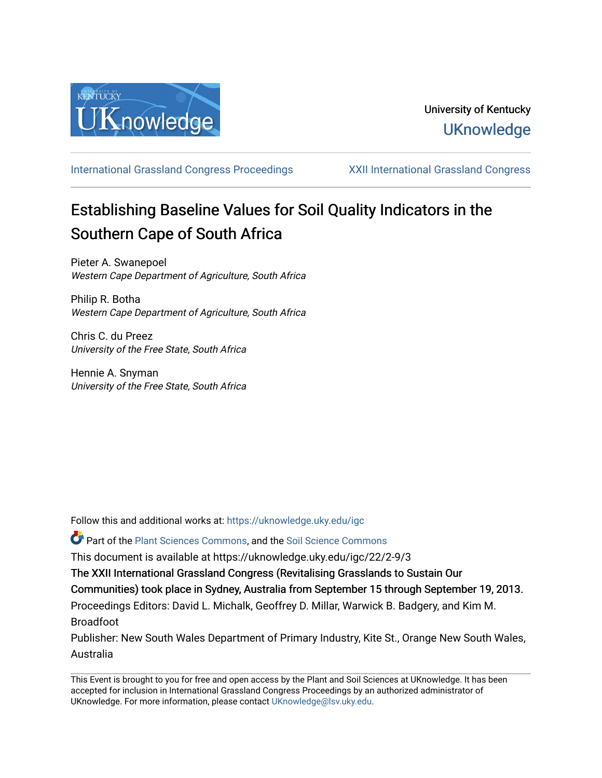

[International Grassland Congress Proceedings](https://uknowledge.uky.edu/igc) [XXII International Grassland Congress](https://uknowledge.uky.edu/igc/22) 

# Establishing Baseline Values for Soil Quality Indicators in the Southern Cape of South Africa

Pieter A. Swanepoel Western Cape Department of Agriculture, South Africa

Philip R. Botha Western Cape Department of Agriculture, South Africa

Chris C. du Preez University of the Free State, South Africa

Hennie A. Snyman University of the Free State, South Africa

Follow this and additional works at: [https://uknowledge.uky.edu/igc](https://uknowledge.uky.edu/igc?utm_source=uknowledge.uky.edu%2Figc%2F22%2F2-9%2F3&utm_medium=PDF&utm_campaign=PDFCoverPages) 

Part of the [Plant Sciences Commons](http://network.bepress.com/hgg/discipline/102?utm_source=uknowledge.uky.edu%2Figc%2F22%2F2-9%2F3&utm_medium=PDF&utm_campaign=PDFCoverPages), and the [Soil Science Commons](http://network.bepress.com/hgg/discipline/163?utm_source=uknowledge.uky.edu%2Figc%2F22%2F2-9%2F3&utm_medium=PDF&utm_campaign=PDFCoverPages) 

This document is available at https://uknowledge.uky.edu/igc/22/2-9/3

The XXII International Grassland Congress (Revitalising Grasslands to Sustain Our

Communities) took place in Sydney, Australia from September 15 through September 19, 2013.

Proceedings Editors: David L. Michalk, Geoffrey D. Millar, Warwick B. Badgery, and Kim M. Broadfoot

Publisher: New South Wales Department of Primary Industry, Kite St., Orange New South Wales, Australia

This Event is brought to you for free and open access by the Plant and Soil Sciences at UKnowledge. It has been accepted for inclusion in International Grassland Congress Proceedings by an authorized administrator of UKnowledge. For more information, please contact [UKnowledge@lsv.uky.edu](mailto:UKnowledge@lsv.uky.edu).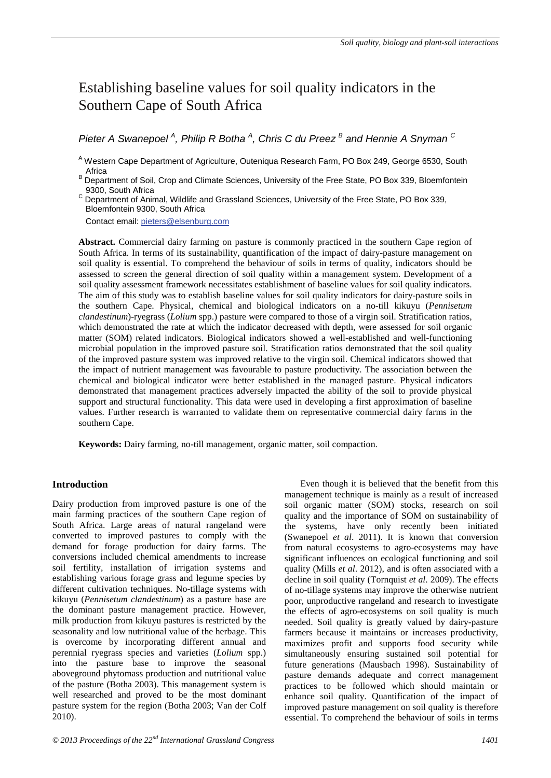# Establishing baseline values for soil quality indicators in the Southern Cape of South Africa

*Pieter A Swanepoel <sup>A</sup> , Philip R Botha <sup>A</sup> , Chris C du Preez <sup>B</sup> and Hennie A Snyman <sup>C</sup>*

<sup>A</sup> Western Cape Department of Agriculture, Outeniqua Research Farm, PO Box 249, George 6530, South

Africa<br>B Department of Soil, Crop and Climate Sciences, University of the Free State, PO Box 339, Bloemfontein 9300, South Africa

C 9300, South Affication and Grassland Sciences, University of the Free State, PO Box 339, Bloemfontein 9300, South Africa

Contact email: pieters@elsenburg.com

**Abstract.** Commercial dairy farming on pasture is commonly practiced in the southern Cape region of South Africa. In terms of its sustainability, quantification of the impact of dairy-pasture management on soil quality is essential. To comprehend the behaviour of soils in terms of quality, indicators should be assessed to screen the general direction of soil quality within a management system. Development of a soil quality assessment framework necessitates establishment of baseline values for soil quality indicators. The aim of this study was to establish baseline values for soil quality indicators for dairy-pasture soils in the southern Cape. Physical, chemical and biological indicators on a no-till kikuyu (*Pennisetum clandestinum*)-ryegrass (*Lolium* spp.) pasture were compared to those of a virgin soil. Stratification ratios, which demonstrated the rate at which the indicator decreased with depth, were assessed for soil organic matter (SOM) related indicators. Biological indicators showed a well-established and well-functioning microbial population in the improved pasture soil. Stratification ratios demonstrated that the soil quality of the improved pasture system was improved relative to the virgin soil. Chemical indicators showed that the impact of nutrient management was favourable to pasture productivity. The association between the chemical and biological indicator were better established in the managed pasture. Physical indicators demonstrated that management practices adversely impacted the ability of the soil to provide physical support and structural functionality. This data were used in developing a first approximation of baseline values. Further research is warranted to validate them on representative commercial dairy farms in the southern Cape.

**Keywords:** Dairy farming, no-till management, organic matter, soil compaction.

# **Introduction**

Dairy production from improved pasture is one of the main farming practices of the southern Cape region of South Africa. Large areas of natural rangeland were converted to improved pastures to comply with the demand for forage production for dairy farms. The conversions included chemical amendments to increase soil fertility, installation of irrigation systems and establishing various forage grass and legume species by different cultivation techniques. No-tillage systems with kikuyu (*Pennisetum clandestinum*) as a pasture base are the dominant pasture management practice. However, milk production from kikuyu pastures is restricted by the seasonality and low nutritional value of the herbage. This is overcome by incorporating different annual and perennial ryegrass species and varieties (*Lolium* spp.) into the pasture base to improve the seasonal aboveground phytomass production and nutritional value of the pasture (Botha 2003). This management system is well researched and proved to be the most dominant pasture system for the region (Botha 2003; Van der Colf 2010).

management technique is mainly as a result of increased soil organic matter (SOM) stocks, research on soil quality and the importance of SOM on sustainability of the systems, have only recently been initiated (Swanepoel *et al*. 2011). It is known that conversion from natural ecosystems to agro-ecosystems may have significant influences on ecological functioning and soil quality (Mills *et al*. 2012), and is often associated with a decline in soil quality (Tornquist *et al*. 2009). The effects of no-tillage systems may improve the otherwise nutrient poor, unproductive rangeland and research to investigate the effects of agro-ecosystems on soil quality is much needed. Soil quality is greatly valued by dairy-pasture farmers because it maintains or increases productivity, maximizes profit and supports food security while simultaneously ensuring sustained soil potential for future generations (Mausbach 1998). Sustainability of pasture demands adequate and correct management practices to be followed which should maintain or enhance soil quality. Quantification of the impact of improved pasture management on soil quality is therefore essential. To comprehend the behaviour of soils in terms

Even though it is believed that the benefit from this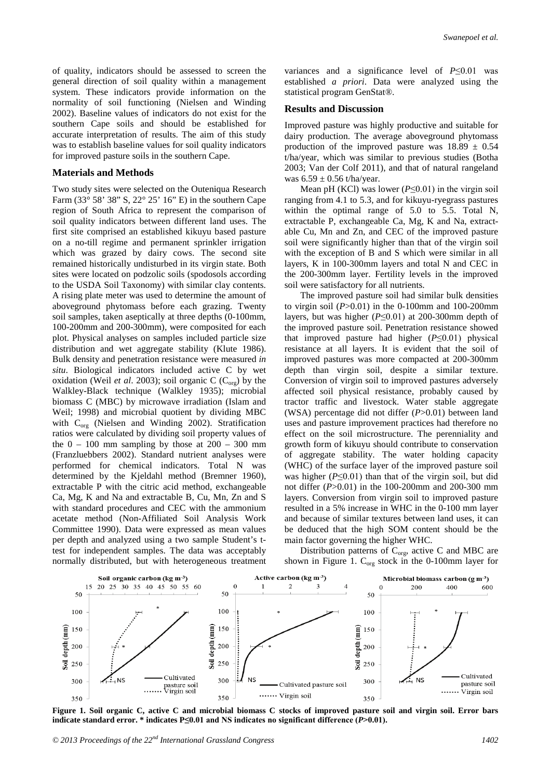of quality, indicators should be assessed to screen the general direction of soil quality within a management system. These indicators provide information on the normality of soil functioning (Nielsen and Winding 2002). Baseline values of indicators do not exist for the southern Cape soils and should be established for accurate interpretation of results. The aim of this study was to establish baseline values for soil quality indicators for improved pasture soils in the southern Cape.

#### **Materials and Methods**

Two study sites were selected on the Outeniqua Research Farm (33° 58' 38" S, 22° 25' 16" E) in the southern Cape region of South Africa to represent the comparison of soil quality indicators between different land uses. The first site comprised an established kikuyu based pasture on a no-till regime and permanent sprinkler irrigation which was grazed by dairy cows. The second site remained historically undisturbed in its virgin state. Both sites were located on podzolic soils (spodosols according to the USDA Soil Taxonomy) with similar clay contents. A rising plate meter was used to determine the amount of aboveground phytomass before each grazing. Twenty soil samples, taken aseptically at three depths (0-100mm, 100-200mm and 200-300mm), were composited for each plot. Physical analyses on samples included particle size distribution and wet aggregate stability (Klute 1986). Bulk density and penetration resistance were measured *in situ*. Biological indicators included active C by wet oxidation (Weil *et al.* 2003); soil organic C ( $C_{\text{org}}$ ) by the Walkley-Black technique (Walkley 1935); microbial biomass C (MBC) by microwave irradiation (Islam and Weil; 1998) and microbial quotient by dividing MBC with  $C_{org}$  (Nielsen and Winding 2002). Stratification ratios were calculated by dividing soil property values of the  $0 - 100$  mm sampling by those at  $200 - 300$  mm (Franzluebbers 2002). Standard nutrient analyses were performed for chemical indicators. Total N was determined by the Kjeldahl method (Bremner 1960), extractable P with the citric acid method, exchangeable Ca, Mg, K and Na and extractable B, Cu, Mn, Zn and S with standard procedures and CEC with the ammonium acetate method (Non-Affiliated Soil Analysis Work Committee 1990). Data were expressed as mean values per depth and analyzed using a two sample Student's ttest for independent samples. The data was acceptably normally distributed, but with heterogeneous treatment

variances and a significance level of *P*≤0.01 was established *a priori*. Data were analyzed using the statistical program GenStat®.

# **Results and Discussion**

Improved pasture was highly productive and suitable for dairy production. The average aboveground phytomass production of the improved pasture was  $18.89 \pm 0.54$ t/ha/year, which was similar to previous studies (Botha 2003; Van der Colf 2011), and that of natural rangeland was  $6.59 \pm 0.56$  t/ha/year.

Mean pH (KCl) was lower (*P*≤0.01) in the virgin soil ranging from 4.1 to 5.3, and for kikuyu-ryegrass pastures within the optimal range of 5.0 to 5.5. Total N, extractable P, exchangeable Ca, Mg, K and Na, extractable Cu, Mn and Zn, and CEC of the improved pasture soil were significantly higher than that of the virgin soil with the exception of B and S which were similar in all layers, K in 100-300mm layers and total N and CEC in the 200-300mm layer. Fertility levels in the improved soil were satisfactory for all nutrients.

The improved pasture soil had similar bulk densities to virgin soil (*P*>0.01) in the 0-100mm and 100-200mm layers, but was higher (*P*≤0.01) at 200-300mm depth of the improved pasture soil. Penetration resistance showed that improved pasture had higher (*P*≤0.01) physical resistance at all layers. It is evident that the soil of improved pastures was more compacted at 200-300mm depth than virgin soil, despite a similar texture. Conversion of virgin soil to improved pastures adversely affected soil physical resistance, probably caused by tractor traffic and livestock. Water stable aggregate (WSA) percentage did not differ (*P*>0.01) between land uses and pasture improvement practices had therefore no effect on the soil microstructure. The perenniality and growth form of kikuyu should contribute to conservation of aggregate stability. The water holding capacity (WHC) of the surface layer of the improved pasture soil was higher  $(P \le 0.01)$  than that of the virgin soil, but did not differ (*P*>0.01) in the 100-200mm and 200-300 mm layers. Conversion from virgin soil to improved pasture resulted in a 5% increase in WHC in the 0-100 mm layer and because of similar textures between land uses, it can be deduced that the high SOM content should be the main factor governing the higher WHC.

Distribution patterns of  $C_{org}$ , active C and MBC are shown in Figure 1.  $C_{org}$  stock in the 0-100mm layer for



**Figure 1. Soil organic C, active C and microbial biomass C stocks of improved pasture soil and virgin soil. Error bars indicate standard error. \* indicates P≤0.01 and NS indicates no significant difference (***P***>0.01).**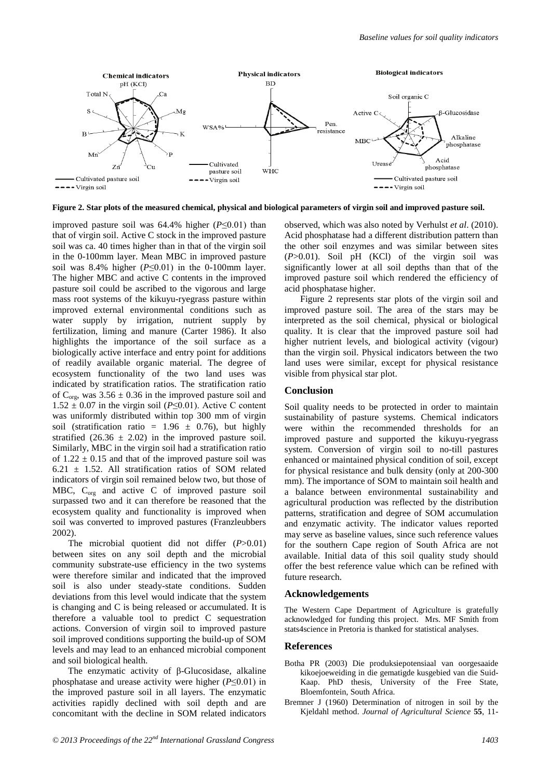

**Figure 2. Star plots of the measured chemical, physical and biological parameters of virgin soil and improved pasture soil.** 

improved pasture soil was 64.4% higher (*P*≤0.01) than that of virgin soil. Active C stock in the improved pasture soil was ca. 40 times higher than in that of the virgin soil in the 0-100mm layer. Mean MBC in improved pasture soil was 8.4% higher  $(P \le 0.01)$  in the 0-100mm layer. The higher MBC and active C contents in the improved pasture soil could be ascribed to the vigorous and large mass root systems of the kikuyu-ryegrass pasture within improved external environmental conditions such as water supply by irrigation, nutrient supply by fertilization, liming and manure (Carter 1986). It also highlights the importance of the soil surface as a biologically active interface and entry point for additions of readily available organic material. The degree of ecosystem functionality of the two land uses was indicated by stratification ratios. The stratification ratio of  $C_{\text{ore}}$ , was 3.56  $\pm$  0.36 in the improved pasture soil and  $1.52 \pm 0.07$  in the virgin soil (*P*≤0.01). Active C content was uniformly distributed within top 300 mm of virgin soil (stratification ratio =  $1.96 \pm 0.76$ ), but highly stratified  $(26.36 \pm 2.02)$  in the improved pasture soil. Similarly, MBC in the virgin soil had a stratification ratio of  $1.22 \pm 0.15$  and that of the improved pasture soil was  $6.21 \pm 1.52$ . All stratification ratios of SOM related indicators of virgin soil remained below two, but those of MBC, C<sub>org</sub> and active C of improved pasture soil surpassed two and it can therefore be reasoned that the ecosystem quality and functionality is improved when soil was converted to improved pastures (Franzleubbers 2002).

The microbial quotient did not differ (*P*>0.01) between sites on any soil depth and the microbial community substrate-use efficiency in the two systems were therefore similar and indicated that the improved soil is also under steady-state conditions. Sudden deviations from this level would indicate that the system is changing and C is being released or accumulated. It is therefore a valuable tool to predict C sequestration actions. Conversion of virgin soil to improved pasture soil improved conditions supporting the build-up of SOM levels and may lead to an enhanced microbial component and soil biological health.

The enzymatic activity of β-Glucosidase, alkaline phosphatase and urease activity were higher (*P*≤0.01) in the improved pasture soil in all layers. The enzymatic activities rapidly declined with soil depth and are concomitant with the decline in SOM related indicators observed, which was also noted by Verhulst *et al*. (2010). Acid phosphatase had a different distribution pattern than the other soil enzymes and was similar between sites (*P*>0.01). Soil pH (KCl) of the virgin soil was significantly lower at all soil depths than that of the improved pasture soil which rendered the efficiency of acid phosphatase higher.

Figure 2 represents star plots of the virgin soil and improved pasture soil. The area of the stars may be interpreted as the soil chemical, physical or biological quality. It is clear that the improved pasture soil had higher nutrient levels, and biological activity (vigour) than the virgin soil. Physical indicators between the two land uses were similar, except for physical resistance visible from physical star plot.

## **Conclusion**

Soil quality needs to be protected in order to maintain sustainability of pasture systems. Chemical indicators were within the recommended thresholds for an improved pasture and supported the kikuyu-ryegrass system. Conversion of virgin soil to no-till pastures enhanced or maintained physical condition of soil, except for physical resistance and bulk density (only at 200-300 mm). The importance of SOM to maintain soil health and a balance between environmental sustainability and agricultural production was reflected by the distribution patterns, stratification and degree of SOM accumulation and enzymatic activity. The indicator values reported may serve as baseline values, since such reference values for the southern Cape region of South Africa are not available. Initial data of this soil quality study should offer the best reference value which can be refined with future research.

#### **Acknowledgements**

The Western Cape Department of Agriculture is gratefully acknowledged for funding this project. Mrs. MF Smith from stats4science in Pretoria is thanked for statistical analyses.

## **References**

- Botha PR (2003) Die produksiepotensiaal van oorgesaaide kikoejoeweiding in die gematigde kusgebied van die Suid-Kaap. PhD thesis, University of the Free State, Bloemfontein, South Africa.
- Bremner J (1960) Determination of nitrogen in soil by the Kjeldahl method. *Journal of Agricultural Science* **55**, 11-